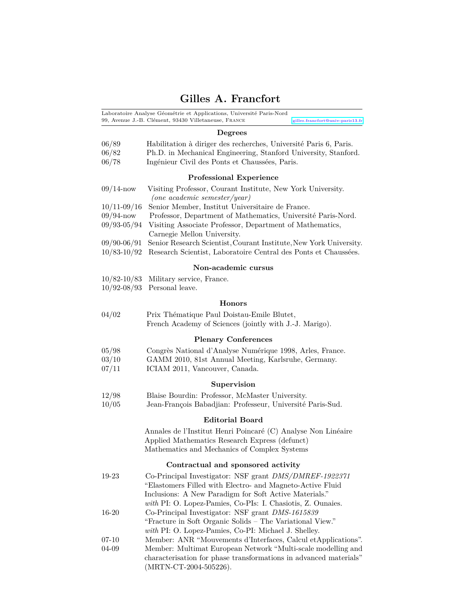# **Gilles A. Francfort**

|                    | Laboratoire Analyse Géométrie et Applications, Université Paris-Nord<br>99, Avenue J.-B. Clément, 93430 Villetaneuse, France<br>gilles.francfort@univ-paris13.fr                                                                                    |
|--------------------|-----------------------------------------------------------------------------------------------------------------------------------------------------------------------------------------------------------------------------------------------------|
|                    | Degrees                                                                                                                                                                                                                                             |
| 06/89              | Habilitation à diriger des recherches, Université Paris 6, Paris.                                                                                                                                                                                   |
| 06/82              | Ph.D. in Mechanical Engineering, Stanford University, Stanford.                                                                                                                                                                                     |
| 06/78              | Ingénieur Civil des Ponts et Chaussées, Paris.                                                                                                                                                                                                      |
|                    | <b>Professional Experience</b>                                                                                                                                                                                                                      |
| $09/14$ -now       | Visiting Professor, Courant Institute, New York University.<br>(one academic semester/year)                                                                                                                                                         |
| $10/11 - 09/16$    | Senior Member, Institut Universitaire de France.                                                                                                                                                                                                    |
| $09/94$ -now       | Professor, Department of Mathematics, Université Paris-Nord.                                                                                                                                                                                        |
| $09/93 - 05/94$    | Visiting Associate Professor, Department of Mathematics,<br>Carnegie Mellon University.                                                                                                                                                             |
| $09/90 - 06/91$    | Senior Research Scientist, Courant Institute, New York University.                                                                                                                                                                                  |
| $10/83 - 10/92$    | Research Scientist, Laboratoire Central des Ponts et Chaussées.                                                                                                                                                                                     |
|                    | Non-academic cursus                                                                                                                                                                                                                                 |
| $10/82 - 10/83$    | Military service, France.                                                                                                                                                                                                                           |
| $10/92 - 08/93$    | Personal leave.                                                                                                                                                                                                                                     |
|                    | <b>Honors</b>                                                                                                                                                                                                                                       |
| 04/02              | Prix Thématique Paul Doistau-Emile Blutet,                                                                                                                                                                                                          |
|                    | French Academy of Sciences (jointly with J.-J. Marigo).                                                                                                                                                                                             |
|                    | <b>Plenary Conferences</b>                                                                                                                                                                                                                          |
| 05/98              | Congrès National d'Analyse Numérique 1998, Arles, France.                                                                                                                                                                                           |
| 03/10              | GAMM 2010, 81st Annual Meeting, Karlsruhe, Germany.                                                                                                                                                                                                 |
| 07/11              | ICIAM 2011, Vancouver, Canada.                                                                                                                                                                                                                      |
|                    | Supervision                                                                                                                                                                                                                                         |
| 12/98              | Blaise Bourdin: Professor, McMaster University.                                                                                                                                                                                                     |
| 10/05              | Jean-François Babadjian: Professeur, Université Paris-Sud.                                                                                                                                                                                          |
|                    | <b>Editorial Board</b>                                                                                                                                                                                                                              |
|                    | Annales de l'Institut Henri Poincaré (C) Analyse Non Linéaire<br>Applied Mathematics Research Express (defunct)<br>Mathematics and Mechanics of Complex Systems                                                                                     |
|                    | Contractual and sponsored activity                                                                                                                                                                                                                  |
| 19-23              | Co-Principal Investigator: NSF grant <i>DMS/DMREF-1922371</i><br>"Elastomers Filled with Electro- and Magneto-Active Fluid<br>Inclusions: A New Paradigm for Soft Active Materials."<br>with PI: O. Lopez-Pamies, Co-PIs: I. Chasiotis, Z. Ounaies. |
| $16-20$            | Co-Principal Investigator: NSF grant DMS-1615839<br>"Fracture in Soft Organic Solids - The Variational View."                                                                                                                                       |
|                    | with PI: O. Lopez-Pamies, Co-PI: Michael J. Shelley.                                                                                                                                                                                                |
| $07 - 10$<br>04-09 | Member: ANR "Mouvements d'Interfaces, Calcul etApplications".<br>Member: Multimat European Network "Multi-scale modelling and<br>characterisation for phase transformations in advanced materials"<br>(MRTN-CT-2004-505226).                        |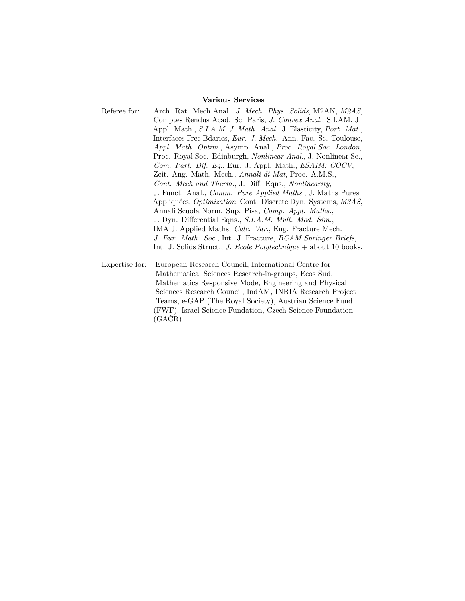## **Various Services**

- Referee for: Arch. Rat. Mech Anal., *J. Mech. Phys. Solids*, M2AN, *M2AS*, Comptes Rendus Acad. Sc. Paris, *J. Convex Anal.*, S.I.AM. J. Appl. Math., *S.I.A.M. J. Math. Anal.*, J. Elasticity, *Port. Mat.*, Interfaces Free Bdaries, *Eur. J. Mech.*, Ann. Fac. Sc. Toulouse, *Appl. Math. Optim.*, Asymp. Anal., *Proc. Royal Soc. London*, Proc. Royal Soc. Edinburgh, *Nonlinear Anal.*, J. Nonlinear Sc., *Com. Part. Dif. Eq.*, Eur. J. Appl. Math., *ESAIM: COCV*, Zeit. Ang. Math. Mech., *Annali di Mat*, Proc. A.M.S., *Cont. Mech and Therm.*, J. Diff. Eqns., *Nonlinearity*, J. Funct. Anal., *Comm. Pure Applied Maths.*, J. Maths Pures Appliquées, *Optimization*, Cont. Discrete Dyn. Systems, *M3AS*, Annali Scuola Norm. Sup. Pisa, *Comp. Appl. Maths.*, J. Dyn. Differential Eqns., *S.I.A.M. Mult. Mod. Sim.*, IMA J. Applied Maths, *Calc. Var.*, Eng. Fracture Mech. *J. Eur. Math. Soc.*, Int. J. Fracture, *BCAM Springer Briefs*, Int. J. Solids Struct., *J. Ecole Polytechnique* + about 10 books.
- Expertise for: European Research Council, International Centre for Mathematical Sciences Research-in-groups, Ecos Sud, Mathematics Responsive Mode, Engineering and Physical Sciences Research Council, IndAM, INRIA Research Project Teams, e-GAP (The Royal Society), Austrian Science Fund (FWF), Israel Science Fundation, Czech Science Foundation (GAČR).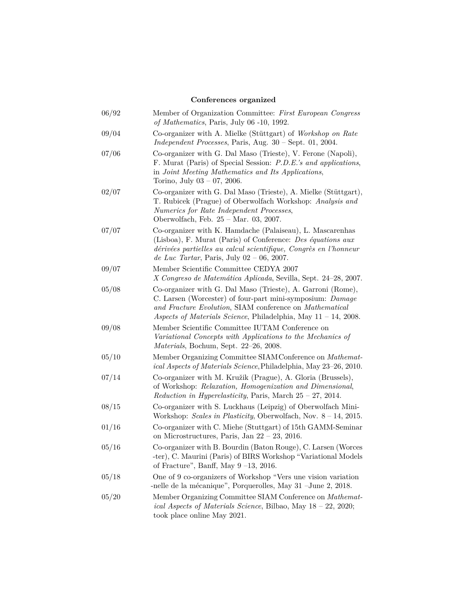# **Conferences organized**

| 06/92 | Member of Organization Committee: First European Congress<br>of Mathematics, Paris, July 06 -10, 1992.                                                                                                                                                   |
|-------|----------------------------------------------------------------------------------------------------------------------------------------------------------------------------------------------------------------------------------------------------------|
| 09/04 | Co-organizer with A. Mielke (Stüttgart) of Workshop on Rate<br><i>Independent Processes</i> , Paris, Aug. $30 - Sept. 01, 2004.$                                                                                                                         |
| 07/06 | Co-organizer with G. Dal Maso (Trieste), V. Ferone (Napoli),<br>F. Murat (Paris) of Special Session: <i>P.D.E.'s and applications</i> ,<br>in Joint Meeting Mathematics and Its Applications,<br>Torino, July $03 - 07$ , 2006.                          |
| 02/07 | Co-organizer with G. Dal Maso (Trieste), A. Mielke (Stüttgart),<br>T. Rubicek (Prague) of Oberwolfach Workshop: Analysis and<br>Numerics for Rate Independent Processes,<br>Oberwolfach, Feb. $25 - \text{Mar. } 03, 2007$ .                             |
| 07/07 | Co-organizer with K. Hamdache (Palaiseau), L. Mascarenhas<br>(Lisboa), F. Murat (Paris) of Conference: Des équations aux<br>dérivées partielles au calcul scientifique, Congrès en l'honneur<br>de Luc Tartar, Paris, July $02 - 06$ , 2007.             |
| 09/07 | Member Scientific Committee CEDYA 2007<br>X Congreso de Matemática Aplicada, Sevilla, Sept. 24-28, 2007.                                                                                                                                                 |
| 05/08 | Co-organizer with G. Dal Maso (Trieste), A. Garroni (Rome),<br>C. Larsen (Worcester) of four-part mini-symposium: Damage<br>and Fracture Evolution, SIAM conference on Mathematical<br>Aspects of Materials Science, Philadelphia, May $11 - 14$ , 2008. |
| 09/08 | Member Scientific Committee IUTAM Conference on<br>Variational Concepts with Applications to the Mechanics of<br>Materials, Bochum, Sept. 22-26, 2008.                                                                                                   |
| 05/10 | Member Organizing Committee SIAM Conference on Mathemat-<br><i>ical Aspects of Materials Science</i> , Philadelphia, May 23-26, 2010.                                                                                                                    |
| 07/14 | Co-organizer with M. Kružik (Prague), A. Gloria (Brussels),<br>of Workshop: Relaxation, Homogenization and Dimensional,<br><i>Reduction in Hyperelasticity</i> , Paris, March $25 - 27$ , 2014.                                                          |
| 08/15 | Co-organizer with S. Luckhaus (Leipzig) of Oberwolfach Mini-<br>Workshop: Scales in Plasticity, Oberwolfach, Nov. $8 - 14$ , 2015.                                                                                                                       |
| 01/16 | Co-organizer with C. Miehe (Stuttgart) of 15th GAMM-Seminar<br>on Microstructures, Paris, Jan $22 - 23$ , 2016.                                                                                                                                          |
| 05/16 | Co-organizer with B. Bourdin (Baton Rouge), C. Larsen (Worces<br>-ter), C. Maurini (Paris) of BIRS Workshop "Variational Models<br>of Fracture", Banff, May $9-13$ , 2016.                                                                               |
| 05/18 | One of 9 co-organizers of Workshop "Vers une vision variation"<br>-nelle de la mécanique", Porquerolles, May 31 - June 2, 2018.                                                                                                                          |
| 05/20 | Member Organizing Committee SIAM Conference on Mathemat-<br><i>ical Aspects of Materials Science</i> , Bilbao, May $18 - 22$ , 2020;<br>took place online May 2021.                                                                                      |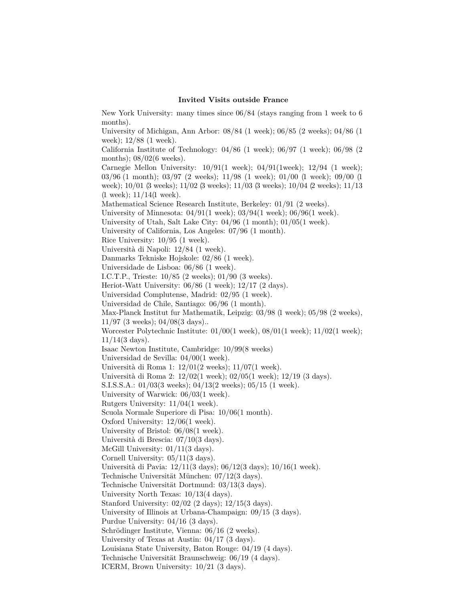## **Invited Visits outside France**

New York University: many times since 06/84 (stays ranging from 1 week to 6 months).

University of Michigan, Ann Arbor: 08/84 (1 week); 06/85 (2 weeks); 04/86 (1 week); 12/88 (1 week).

California Institute of Technology: 04/86 (1 week); 06/97 (1 week); 06/98 (2 months); 08/02(6 weeks).

Carnegie Mellon University:  $10/91(1 \text{ week})$ ;  $04/91(1 \text{ week})$ ;  $12/94$  (1 week); 03/96 (1 month); 03/97 (2 weeks); 11/98 (1 week); 01/00 (1 week); 09/00 (1 week); 10/01 (3 weeks); 11/02 (3 weeks); 11/03 (3 weeks); 10/04 (2 weeks); 11/13  $(1 \text{ week}); 11/14(1 \text{ week}).$ 

Mathematical Science Research Institute, Berkeley: 01/91 (2 weeks).

University of Minnesota: 04/91(1 week); 03/94(1 week); 06/96(1 week).

University of Utah, Salt Lake City: 04/96 (1 month); 01/05(1 week).

University of California, Los Angeles: 07/96 (1 month).

Rice University: 10/95 (1 week).

Università di Napoli: 12/84 (1 week).

Danmarks Tekniske Hojskole: 02/86 (1 week).

Universidade de Lisboa: 06/86 (1 week).

I.C.T.P., Trieste: 10/85 (2 weeks); 01/90 (3 weeks).

Heriot-Watt University: 06/86 (1 week); 12/17 (2 days).

Universidad Complutense, Madrid: 02/95 (1 week).

Universidad de Chile, Santiago: 06/96 (1 month).

Max-Planck Institut fur Mathematik, Leipzig: 03/98 (1 week); 05/98 (2 weeks),

11/97 (3 weeks); 04/08(3 days)..

Worcester Polytechnic Institute: 01/00(1 week), 08/01(1 week); 11/02(1 week);  $11/14(3 \text{ days}).$ 

Isaac Newton Institute, Cambridge: 10/99(8 weeks)

Universidad de Sevilla: 04/00(1 week).

Università di Roma 1: 12/01(2 weeks); 11/07(1 week).

Università di Roma 2: 12/02(1 week); 02/05(1 week); 12/19 (3 days).

S.I.S.S.A.: 01/03(3 weeks); 04/13(2 weeks); 05/15 (1 week).

University of Warwick: 06/03(1 week).

Rutgers University: 11/04(1 week).

Scuola Normale Superiore di Pisa: 10/06(1 month).

Oxford University: 12/06(1 week).

University of Bristol: 06/08(1 week).

Università di Brescia: 07/10(3 days).

McGill University:  $01/11(3 \text{ days})$ .

Cornell University: 05/11(3 days).

Università di Pavia: 12/11(3 days); 06/12(3 days); 10/16(1 week).

Technische Universität München: 07/12(3 days).

Technische Universität Dortmund: 03/13(3 days).

University North Texas: 10/13(4 days).

Stanford University: 02/02 (2 days); 12/15(3 days).

University of Illinois at Urbana-Champaign: 09/15 (3 days).

Purdue University: 04/16 (3 days).

Schrödinger Institute, Vienna: 06/16 (2 weeks).

University of Texas at Austin: 04/17 (3 days).

Louisiana State University, Baton Rouge: 04/19 (4 days).

Technische Universität Braunschweig: 06/19 (4 days).

ICERM, Brown University: 10/21 (3 days).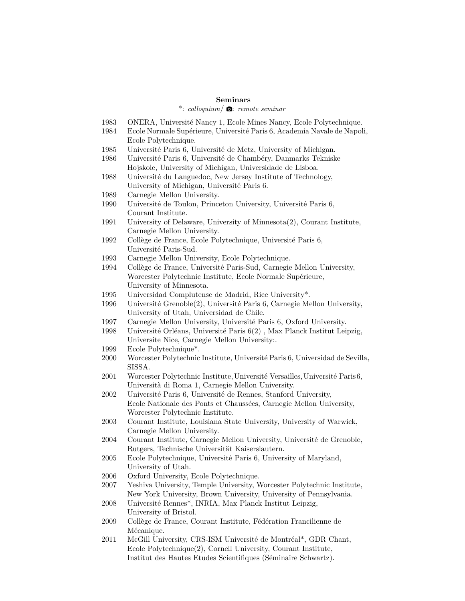#### **Seminars**

# \*: *colloquium*/ �: *remote seminar*

- 1983 ONERA, Université Nancy 1, Ecole Mines Nancy, Ecole Polytechnique.
- 1984 Ecole Normale Supérieure, Université Paris 6, Academia Navale de Napoli, Ecole Polytechnique.
- 1985 Université Paris 6, Université de Metz, University of Michigan.
- 1986 Université Paris 6, Université de Chambéry, Danmarks Tekniske Hojskole, University of Michigan, Universidade de Lisboa.
- 1988 Université du Languedoc, New Jersey Institute of Technology, University of Michigan, Université Paris 6.
- 1989 Carnegie Mellon University.
- 1990 Université de Toulon, Princeton University, Université Paris 6, Courant Institute.
- 1991 University of Delaware, University of Minnesota(2), Courant Institute, Carnegie Mellon University.
- 1992 Collège de France, Ecole Polytechnique, Université Paris 6, Université Paris-Sud.
- 1993 Carnegie Mellon University, Ecole Polytechnique.
- 1994 Collège de France, Université Paris-Sud, Carnegie Mellon University, Worcester Polytechnic Institute, Ecole Normale Supérieure, University of Minnesota.
- 1995 Universidad Complutense de Madrid, Rice University\*.
- 1996 Université Grenoble(2), Université Paris 6, Carnegie Mellon University, University of Utah, Universidad de Chile.
- 1997 Carnegie Mellon University, Université Paris 6, Oxford University.
- 1998 Université Orléans, Université Paris 6(2) , Max Planck Institut Leipzig, Universite Nice, Carnegie Mellon University:.
- 1999 Ecole Polytechnique\*.
- 2000 Worcester Polytechnic Institute, Université Paris 6, Universidad de Sevilla, SISSA.
- 2001 Worcester Polytechnic Institute,Université Versailles,Université Paris 6, Università di Roma 1, Carnegie Mellon University.
- 2002 Université Paris 6, Université de Rennes, Stanford University, Ecole Nationale des Ponts et Chaussées, Carnegie Mellon University, Worcester Polytechnic Institute.
- 2003 Courant Institute, Louisiana State University, University of Warwick, Carnegie Mellon University.
- 2004 Courant Institute, Carnegie Mellon University, Université de Grenoble, Rutgers, Technische Universität Kaiserslautern.
- 2005 Ecole Polytechnique, Université Paris 6, University of Maryland, University of Utah.
- 2006 Oxford University, Ecole Polytechnique.
- 2007 Yeshiva University, Temple University, Worcester Polytechnic Institute, New York University, Brown University, University of Pennsylvania.
- 2008 Université Rennes\*, INRIA, Max Planck Institut Leipzig, University of Bristol.
- 2009 Collège de France, Courant Institute, Fédération Francilienne de Mécanique.
- 2011 McGill University, CRS-ISM Université de Montréal\*, GDR Chant, Ecole Polytechnique(2), Cornell University, Courant Institute, Institut des Hautes Etudes Scientifiques (Séminaire Schwartz).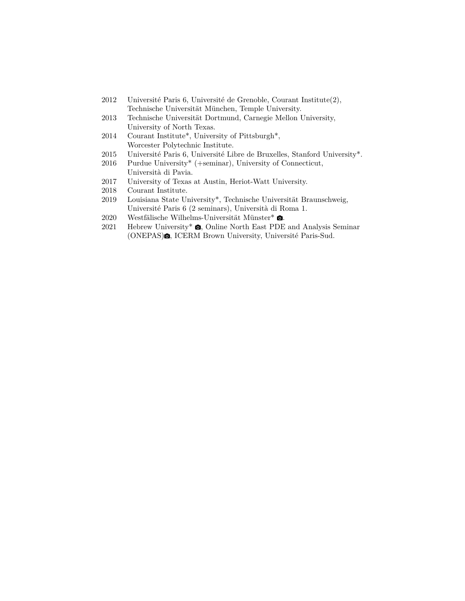- 2012 Université Paris 6, Université de Grenoble, Courant Institute(2), Technische Universität München, Temple University.
- 2013 Technische Universität Dortmund, Carnegie Mellon University, University of North Texas.
- 2014 Courant Institute\*, University of Pittsburgh\*, Worcester Polytechnic Institute.
- 2015 Université Paris 6, Université Libre de Bruxelles, Stanford University\*.
- 2016 Purdue University\* (+seminar), University of Connecticut, Università di Pavia.
- 2017 University of Texas at Austin, Heriot-Watt University.
- 2018 Courant Institute.
- 2019 Louisiana State University\*, Technische Universität Braunschweig, Université Paris 6 (2 seminars), Università di Roma 1.
- 2020 Westfälische Wilhelms-Universität Münster $*$   $\bullet$ .
- 2021 Hebrew University\*  $\bullet$ , Online North East PDE and Analysis Seminar (ONEPAS)�, ICERM Brown University, Université Paris-Sud.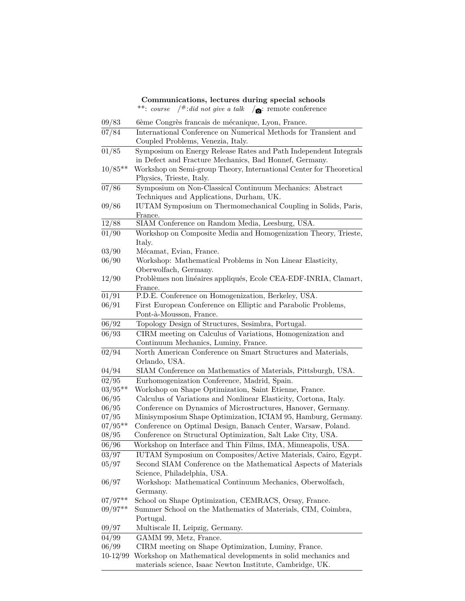# **Communications, lectures during special schools** \*\*: *course* / #:*did not give a talk* /�: remote conference

| 09/83              | bème Congrès francais de mécanique, Lyon, France.                   |
|--------------------|---------------------------------------------------------------------|
| $\overline{07}/84$ | International Conference on Numerical Methods for Transient and     |
|                    | Coupled Problems, Venezia, Italy.                                   |
| 01/85              | Symposium on Energy Release Rates and Path Independent Integrals    |
|                    | in Defect and Fracture Mechanics, Bad Honnef, Germany.              |
| $10/85***$         | Workshop on Semi-group Theory, International Center for Theoretical |
|                    | Physics, Trieste, Italy.                                            |
| 07/86              | Symposium on Non-Classical Continuum Mechanics: Abstract            |
|                    | Techniques and Applications, Durham, UK.                            |
| 09/86              | IUTAM Symposium on Thermomechanical Coupling in Solids, Paris,      |
|                    | France.                                                             |
| 12/88              | SIAM Conference on Random Media, Leesburg, USA.                     |
| 01/90              | Workshop on Composite Media and Homogenization Theory, Trieste,     |
|                    | Italy.                                                              |
| 03/90              | Mécamat, Evian, France.                                             |
| 06/90              | Workshop: Mathematical Problems in Non Linear Elasticity,           |
|                    | Oberwolfach, Germany.                                               |
| 12/90              | Problèmes non linéaires appliqués, Ecole CEA-EDF-INRIA, Clamart,    |
|                    | France.                                                             |
| 01/91              | P.D.E. Conference on Homogenization, Berkeley, USA.                 |
| 06/91              | First European Conference on Elliptic and Parabolic Problems,       |
|                    | Pont-à-Mousson, France.                                             |
| 06/92              | Topology Design of Structures, Sesimbra, Portugal.                  |
| 06/93              | CIRM meeting on Calculus of Variations, Homogenization and          |
|                    | Continuum Mechanics, Luminy, France.                                |
| $\frac{02}{94}$    | North American Conference on Smart Structures and Materials,        |
|                    | Orlando, USA.                                                       |
| 04/94              | SIAM Conference on Mathematics of Materials, Pittsburgh, USA.       |
| 02/95              | Eurhomogenization Conference, Madrid, Spain.                        |
| $03/95***$         | Workshop on Shape Optimization, Saint Etienne, France.              |
| 06/95              | Calculus of Variations and Nonlinear Elasticity, Cortona, Italy.    |
| 06/95              | Conference on Dynamics of Microstructures, Hanover, Germany.        |
| 07/95              | Minisymposium Shape Optimization, ICIAM 95, Hamburg, Germany.       |
| $07/95^{**}$       | Conference on Optimal Design, Banach Center, Warsaw, Poland.        |
| 08/95              | Conference on Structural Optimization, Salt Lake City, USA.         |
| 06/96              | Workshop on Interface and Thin Films, IMA, Minneapolis, USA.        |
| 03/97              | IUTAM Symposium on Composites/Active Materials, Cairo, Egypt.       |
| 05/97              | Second SIAM Conference on the Mathematical Aspects of Materials     |
|                    | Science, Philadelphia, USA.                                         |
| 06/97              | Workshop: Mathematical Continuum Mechanics, Oberwolfach,            |
|                    | Germany.                                                            |
| $07/97^{**}$       | School on Shape Optimization, CEMRACS, Orsay, France.               |
| $09/97**$          | Summer School on the Mathematics of Materials, CIM, Coimbra,        |
|                    | Portugal.                                                           |
| 09/97              | Multiscale II, Leipzig, Germany.                                    |
| 04/99              | GAMM 99, Metz, France.                                              |

- 06/99 CIRM meeting on Shape Optimization, Luminy, France.
- 10-12/99 Workshop on Mathematical developments in solid mechanics and materials science, Isaac Newton Institute, Cambridge, UK.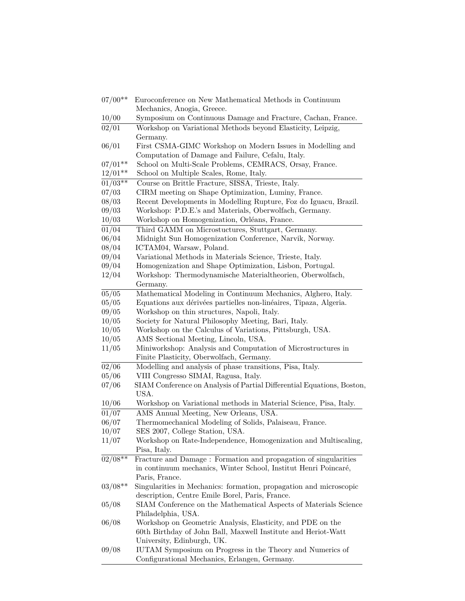| $07/00**$            | Euroconference on New Mathematical Methods in Continuum                                                          |
|----------------------|------------------------------------------------------------------------------------------------------------------|
|                      | Mechanics, Anogia, Greece.                                                                                       |
| 10/00                | Symposium on Continuous Damage and Fracture, Cachan, France.                                                     |
| 02/01                | Workshop on Variational Methods beyond Elasticity, Leipzig,                                                      |
|                      | Germany.                                                                                                         |
| 06/01                | First CSMA-GIMC Workshop on Modern Issues in Modelling and                                                       |
|                      | Computation of Damage and Failure, Cefalu, Italy.                                                                |
| $07/01**$            | School on Multi-Scale Problems, CEMRACS, Orsay, France.                                                          |
| $12/01**$            | School on Multiple Scales, Rome, Italy.                                                                          |
| $01/03**$            | Course on Brittle Fracture, SISSA, Trieste, Italy.                                                               |
| 07/03                | CIRM meeting on Shape Optimization, Luminy, France.                                                              |
| 08/03                | Recent Developments in Modelling Rupture, Foz do Iguacu, Brazil.                                                 |
| 09/03                | Workshop: P.D.E.'s and Materials, Oberwolfach, Germany.                                                          |
| 10/03                | Workshop on Homogenization, Orléans, France.                                                                     |
| 01/04                | Third GAMM on Microstuctures, Stuttgart, Germany.                                                                |
| 06/04                | Midnight Sun Homogenization Conference, Narvik, Norway.                                                          |
| 08/04                | ICTAM04, Warsaw, Poland.                                                                                         |
| 09/04                | Variational Methods in Materials Science, Trieste, Italy.                                                        |
| 09/04                | Homogenization and Shape Optimization, Lisbon, Portugal.                                                         |
| 12/04                | Workshop: Thermodynamische Materialtheorien, Oberwolfach,                                                        |
|                      | Germany.                                                                                                         |
| 05/05                | Mathematical Modeling in Continuum Mechanics, Alghero, Italy.                                                    |
| 05/05                | Equations aux dérivées partielles non-linéaires, Tipaza, Algeria.                                                |
| 09/05                | Workshop on thin structures, Napoli, Italy.                                                                      |
| 10/05<br>10/05       | Society for Natural Philosophy Meeting, Bari, Italy.<br>Workshop on the Calculus of Variations, Pittsburgh, USA. |
| 10/05                | AMS Sectional Meeting, Lincoln, USA.                                                                             |
| 11/05                | Miniworkshop: Analysis and Computation of Microstructures in                                                     |
|                      | Finite Plasticity, Oberwolfach, Germany.                                                                         |
| 02/06                | Modelling and analysis of phase transitions, Pisa, Italy.                                                        |
| 05/06                | VIII Congresso SIMAI, Ragusa, Italy.                                                                             |
| 07/06                | SIAM Conference on Analysis of Partial Differential Equations, Boston,                                           |
|                      | USA.                                                                                                             |
| 10/06                | Workshop on Variational methods in Material Science, Pisa, Italy.                                                |
| 01/07                | AMS Annual Meeting, New Orleans, USA.                                                                            |
| 06/07                | Thermomechanical Modeling of Solids, Palaiseau, France.                                                          |
| 10/07                | SES 2007, College Station, USA.                                                                                  |
| 11/07                | Workshop on Rate-Independence, Homogenization and Multiscaling,                                                  |
|                      | Pisa, Italy.                                                                                                     |
| $\frac{02}{08^{**}}$ | Fracture and Damage: Formation and propagation of singularities                                                  |
|                      | in continuum mechanics, Winter School, Institut Henri Poincaré,                                                  |
|                      | Paris, France.                                                                                                   |
| $03/08**$            | Singularities in Mechanics: formation, propagation and microscopic                                               |
|                      | description, Centre Emile Borel, Paris, France.                                                                  |
| 05/08                | SIAM Conference on the Mathematical Aspects of Materials Science                                                 |
|                      | Philadelphia, USA.                                                                                               |
| 06/08                | Workshop on Geometric Analysis, Elasticity, and PDE on the                                                       |
|                      | 60th Birthday of John Ball, Maxwell Institute and Heriot-Watt                                                    |
|                      | University, Edinburgh, UK.                                                                                       |
| 09/08                | IUTAM Symposium on Progress in the Theory and Numerics of                                                        |
|                      | Configurational Mechanics, Erlangen, Germany.                                                                    |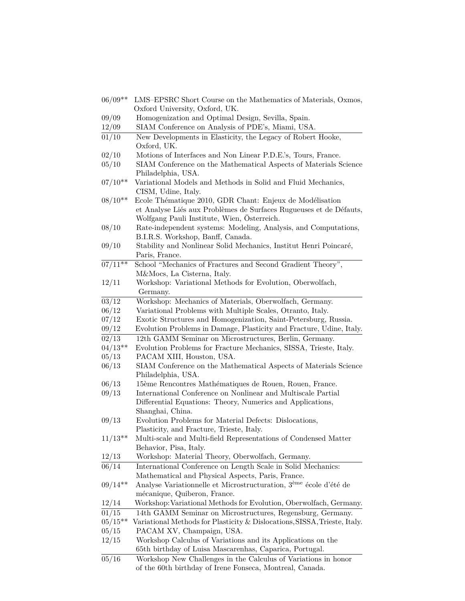| $06/09**$         | LMS-EPSRC Short Course on the Mathematics of Materials, Oxmos,                |
|-------------------|-------------------------------------------------------------------------------|
|                   | Oxford University, Oxford, UK.                                                |
| 09/09             | Homogenization and Optimal Design, Sevilla, Spain.                            |
| 12/09             | SIAM Conference on Analysis of PDE's, Miami, USA.                             |
| 01/10             | New Developments in Elasticity, the Legacy of Robert Hooke,                   |
|                   | Oxford, UK.                                                                   |
| 02/10             | Motions of Interfaces and Non Linear P.D.E.'s, Tours, France.                 |
| 05/10             | SIAM Conference on the Mathematical Aspects of Materials Science              |
|                   | Philadelphia, USA.                                                            |
| $07/10**$         | Variational Models and Methods in Solid and Fluid Mechanics,                  |
|                   | CISM, Udine, Italy.                                                           |
| $08/10**$         | Ecole Thématique 2010, GDR Chant: Enjeux de Modélisation                      |
|                   | et Analyse Liés aux Problèmes de Surfaces Rugueuses et de Défauts,            |
|                   | Wolfgang Pauli Institute, Wien, Österreich.                                   |
| 08/10             | Rate-independent systems: Modeling, Analysis, and Computations,               |
|                   | B.I.R.S. Workshop, Banff, Canada.                                             |
| 09/10             | Stability and Nonlinear Solid Mechanics, Institut Henri Poincaré,             |
|                   |                                                                               |
| $\frac{07}{11**}$ | Paris, France.                                                                |
|                   | School "Mechanics of Fractures and Second Gradient Theory",                   |
|                   | M&Mocs, La Cisterna, Italy.                                                   |
| 12/11             | Workshop: Variational Methods for Evolution, Oberwolfach,                     |
|                   | Germany.                                                                      |
| 03/12             | Workshop: Mechanics of Materials, Oberwolfach, Germany.                       |
| 06/12             | Variational Problems with Multiple Scales, Otranto, Italy.                    |
| 07/12             | Exotic Structures and Homogenization, Saint-Petersburg, Russia.               |
| 09/12             | Evolution Problems in Damage, Plasticity and Fracture, Udine, Italy.          |
| 02/13             | 12th GAMM Seminar on Microstructures, Berlin, Germany.                        |
| $04/13**$         | Evolution Problems for Fracture Mechanics, SISSA, Trieste, Italy.             |
| 05/13             | PACAM XIII, Houston, USA.                                                     |
| 06/13             | SIAM Conference on the Mathematical Aspects of Materials Science              |
|                   | Philadelphia, USA.                                                            |
| 06/13             | 15ème Rencontres Mathématiques de Rouen, Rouen, France.                       |
| 09/13             | International Conference on Nonlinear and Multiscale Partial                  |
|                   | Differential Equations: Theory, Numerics and Applications,                    |
|                   | Shanghai, China.                                                              |
| 09/13             | Evolution Problems for Material Defects: Dislocations,                        |
|                   | Plasticity, and Fracture, Trieste, Italy.                                     |
| $11/13**$         | Multi-scale and Multi-field Representations of Condensed Matter               |
|                   | Behavior, Pisa, Italy.                                                        |
| 12/13             | Workshop: Material Theory, Oberwolfach, Germany.                              |
| 06/14             | International Conference on Length Scale in Solid Mechanics:                  |
|                   | Mathematical and Physical Aspects, Paris, France.                             |
| $09/14**$         | Analyse Variationnelle et Microstructuration, 3 <sup>ème</sup> école d'été de |
|                   | mécanique, Quiberon, France.                                                  |
| 12/14             | Workshop: Variational Methods for Evolution, Oberwolfach, Germany.            |
| 01/15             | 14th GAMM Seminar on Microstructures, Regensburg, Germany.                    |
| $05/15***$        | Variational Methods for Plasticity & Dislocations, SISSA, Trieste, Italy.     |
| 05/15             | PACAM XV, Champaign, USA.                                                     |
| 12/15             | Workshop Calculus of Variations and its Applications on the                   |
|                   | 65th birthday of Luisa Mascarenhas, Caparica, Portugal.                       |
| 05/16             | Workshop New Challenges in the Calculus of Variations in honor                |
|                   | of the 60th birthday of Irene Fonseca, Montreal, Canada.                      |
|                   |                                                                               |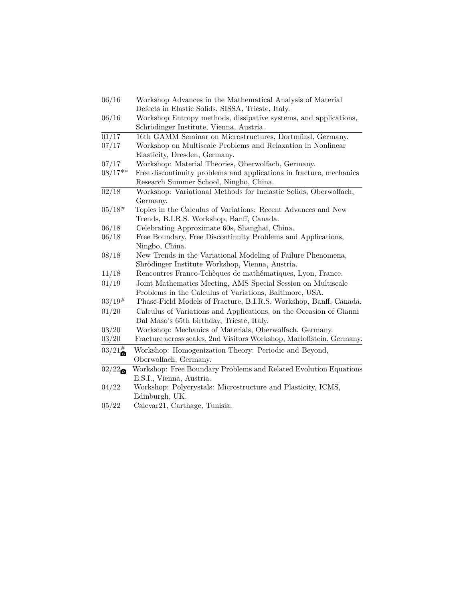| 06/16                   | Workshop Advances in the Mathematical Analysis of Material            |
|-------------------------|-----------------------------------------------------------------------|
|                         | Defects in Elastic Solids, SISSA, Trieste, Italy.                     |
| 06/16                   | Workshop Entropy methods, dissipative systems, and applications,      |
|                         | Schrödinger Institute, Vienna, Austria.                               |
| 01/17                   | 16th GAMM Seminar on Microstructures, Dortmünd, Germany.              |
| 07/17                   | Workshop on Multiscale Problems and Relaxation in Nonlinear           |
|                         | Elasticity, Dresden, Germany.                                         |
| 07/17                   | Workshop: Material Theories, Oberwolfach, Germany.                    |
| $08/17**$               | Free discontinuity problems and applications in fracture, mechanics   |
|                         | Research Summer School, Ningbo, China.                                |
| $\sqrt{02/18}$          | Workshop: Variational Methods for Inelastic Solids, Oberwolfach,      |
|                         | Germany.                                                              |
| 05/18#                  | Topics in the Calculus of Variations: Recent Advances and New         |
|                         | Trends, B.I.R.S. Workshop, Banff, Canada.                             |
| 06/18                   | Celebrating Approximate 60s, Shanghai, China.                         |
| 06/18                   | Free Boundary, Free Discontinuity Problems and Applications,          |
|                         | Ningbo, China.                                                        |
| 08/18                   | New Trends in the Variational Modeling of Failure Phenomena,          |
|                         | Shrödinger Institute Workshop, Vienna, Austria.                       |
| 11/18                   | Rencontres Franco-Tchèques de mathématiques, Lyon, France.            |
| $\frac{01}{19}$         | Joint Mathematics Meeting, AMS Special Session on Multiscale          |
|                         | Problems in the Calculus of Variations, Baltimore, USA.               |
| $03/19^{#}$             | Phase-Field Models of Fracture, B.I.R.S. Workshop, Banff, Canada.     |
| 01/20                   | Calculus of Variations and Applications, on the Occasion of Gianni    |
|                         | Dal Maso's 65th birthday, Trieste, Italy.                             |
| 03/20                   | Workshop: Mechanics of Materials, Oberwolfach, Germany.               |
| $\underline{03/20}$     | Fracture across scales, 2nd Visitors Workshop, Marloffstein, Germany. |
| $\overline{03/21}^{\#}$ | Workshop: Homogenization Theory: Periodic and Beyond,                 |
|                         | Oberwolfach, Germany.                                                 |
| $02/22$ o               | Workshop: Free Boundary Problems and Related Evolution Equations      |
|                         | E.S.I., Vienna, Austria.                                              |
| 04/22                   | Workshop: Polycrystals: Microstructure and Plasticity, ICMS,          |
|                         | Edinburgh, UK.                                                        |
| $\alpha$ / $\alpha$     | $-1$ $-0.1$ $-0.1$ $-1.1$ $-1.1$ $-1.1$ $-1.1$ $-1.1$ $-1.1$          |

05/22 Calcvar21, Carthage, Tunisia.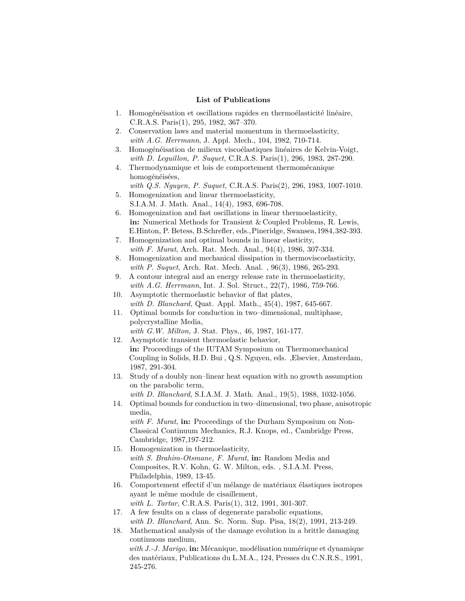# **List of Publications**

- 1. Homogénéisation et oscillations rapides en thermoélasticité linéaire, C.R.A.S. Paris(1), 295, 1982, 367–370.
- 2. Conservation laws and material momentum in thermoelasticity, *with A.G. Herrmann*, J. Appl. Mech., 104, 1982, 710-714.
- 3. Homogénéisation de milieux viscoélastiques linéaires de Kelvin-Voigt, *with D. Leguillon, P. Suquet*, C.R.A.S. Paris(1), 296, 1983, 287-290.
- 4. Thermodynamique et lois de comportement thermomécanique homogénéisées,
- *with Q.S. Nguyen, P. Suquet,* C.R.A.S. Paris(2), 296, 1983, 1007-1010. 5. Homogenization and linear thermoelasticity,
	- S.I.A.M. J. Math. Anal., 14(4), 1983, 696-708.
- 6. Homogenization and fast oscillations in linear thermoelasticity, **in:** Numerical Methods for Transient & Coupled Problems, R. Lewis, E.Hinton, P. Betess, B.Schrefler, eds.,Pineridge, Swansea,1984,382-393.
- 7. Homogenization and optimal bounds in linear elasticity, *with F. Murat*, Arch. Rat. Mech. Anal., 94(4), 1986, 307-334.
- 8. Homogenization and mechanical dissipation in thermoviscoelasticity, *with P. Suquet*, Arch. Rat. Mech. Anal. , 96(3), 1986, 265-293.
- 9. A contour integral and an energy release rate in thermoelasticity, *with A.G. Herrmann*, Int. J. Sol. Struct., 22(7), 1986, 759-766.
- 10. Asymptotic thermoelastic behavior of flat plates, *with D. Blanchard,* Quat. Appl. Math., 45(4), 1987, 645-667.
- 11. Optimal bounds for conduction in two–dimensional, multiphase, polycrystalline Media,
	- *with G.W. Milton,* J. Stat. Phys., 46, 1987, 161-177.
- 12. Asymptotic transient thermoelastic behavior, **in:** Proceedings of the IUTAM Symposium on Thermomechanical Coupling in Solids, H.D. Bui , Q.S. Nguyen, eds. ,Elsevier, Amsterdam, 1987, 291-304.
- 13. Study of a doubly non–linear heat equation with no growth assumption on the parabolic term, *with D. Blanchard*, S.I.A.M. J. Math. Anal., 19(5), 1988, 1032-1056.
- 14. Optimal bounds for conduction in two–dimensional, two phase, anisotropic media, *with F. Murat*, **in:** Proceedings of the Durham Symposium on Non-Classical Continuum Mechanics, R.J. Knops, ed., Cambridge Press,
- Cambridge, 1987,197-212. 15. Homogenization in thermoelasticity, *with S. Brahim-Otsmane, F. Murat*, **in:** Random Media and Composites, R.V. Kohn, G. W. Milton, eds. , S.I.A.M. Press, Philadelphia, 1989, 13-45.
- 16. Comportement effectif d'un mélange de matériaux élastiques isotropes ayant le même module de cisaillement, *with L. Tartar*, C.R.A.S. Paris(1), 312, 1991, 301-307.
- 17. A few fesults on a class of degenerate parabolic equations, *with D. Blanchard*, Ann. Sc. Norm. Sup. Pisa, 18(2), 1991, 213-249.
- 18. Mathematical analysis of the damage evolution in a brittle damaging continuous medium,

*with J.-J. Marigo,* **in:** Mécanique, modélisation numérique et dynamique des matériaux, Publications du L.M.A., 124, Presses du C.N.R.S., 1991, 245-276.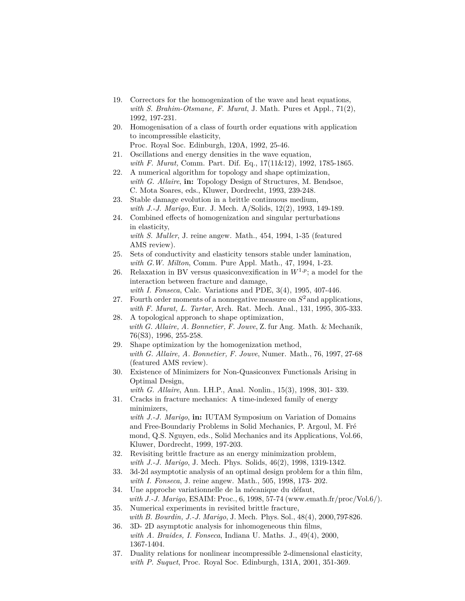- 19. Correctors for the homogenization of the wave and heat equations, *with S. Brahim-Otsmane, F. Murat*, J. Math. Pures et Appl., 71(2), 1992, 197-231.
- 20. Homogenisation of a class of fourth order equations with application to incompressible elasticity, Proc. Royal Soc. Edinburgh, 120A, 1992, 25-46.
- 21. Oscillations and energy densities in the wave equation, *with F. Murat,* Comm. Part. Dif. Eq., 17(11&12), 1992, 1785-1865.
- 22. A numerical algorithm for topology and shape optimization, *with G. Allaire*, **in:** Topology Design of Structures, M. Bendsoe, C. Mota Soares, eds., Kluwer, Dordrecht, 1993, 239-248.
- 23. Stable damage evolution in a brittle continuous medium, *with J.-J. Marigo*, Eur. J. Mech. A/Solids, 12(2), 1993, 149-189.
- 24. Combined effects of homogenization and singular perturbations in elasticity, *with S. Muller*, J. reine angew. Math., 454, 1994, 1-35 (featured AMS review).
- 25. Sets of conductivity and elasticity tensors stable under lamination, *with G.W. Milton*, Comm. Pure Appl. Math., 47, 1994, 1-23.
- 26. Relaxation in BV versus quasiconvexification in  $W^{1,p}$ ; a model for the interaction between fracture and damage, *with I. Fonseca*, Calc. Variations and PDE, 3(4), 1995, 407-446.
- 27. Fourth order moments of a nonnegative measure on  $S<sup>2</sup>$  and applications, *with F. Murat, L. Tartar*, Arch. Rat. Mech. Anal., 131, 1995, 305-333.
- 28. A topological approach to shape optimization, *with G. Allaire, A. Bonnetier, F. Jouve*, Z. fur Ang. Math. & Mechanik, 76(S3), 1996, 255-258.
- 29. Shape optimization by the homogenization method, *with G. Allaire, A. Bonnetier, F. Jouve*, Numer. Math., 76, 1997, 27-68 (featured AMS review).
- 30. Existence of Minimizers for Non-Quasiconvex Functionals Arising in Optimal Design,
- *with G. Allaire*, Ann. I.H.P., Anal. Nonlin., 15(3), 1998, 301- 339. 31. Cracks in fracture mechanics: A time-indexed family of energy

minimizers, *with J.-J. Marigo*, **in:** IUTAM Symposium on Variation of Domains and Free-Boundariy Problems in Solid Mechanics, P. Argoul, M. Fré mond, Q.S. Nguyen, eds., Solid Mechanics and its Applications, Vol.66, Kluwer, Dordrecht, 1999, 197-203.

- 32. Revisiting brittle fracture as an energy minimization problem, *with J.-J. Marigo*, J. Mech. Phys. Solids, 46(2), 1998, 1319-1342.
- 33. 3d-2d asymptotic analysis of an optimal design problem for a thin film, *with I. Fonseca*, J. reine angew. Math., 505, 1998, 173- 202.
- 34. Une approche variationnelle de la mécanique du défaut, *with J.-J. Marigo*, ESAIM: Proc., 6, 1998, 57-74 (www.emath.fr/proc/Vol.6/).
- 35. Numerical experiments in revisited brittle fracture, *with B. Bourdin, J.-J. Marigo*, J. Mech. Phys. Sol., 48(4), 2000,797-826.
- 36. 3D- 2D asymptotic analysis for inhomogeneous thin films, *with A. Braides, I. Fonseca*, Indiana U. Maths. J., 49(4), 2000, 1367-1404.
- 37. Duality relations for nonlinear incompressible 2-dimensional elasticity, *with P. Suquet*, Proc. Royal Soc. Edinburgh, 131A, 2001, 351-369.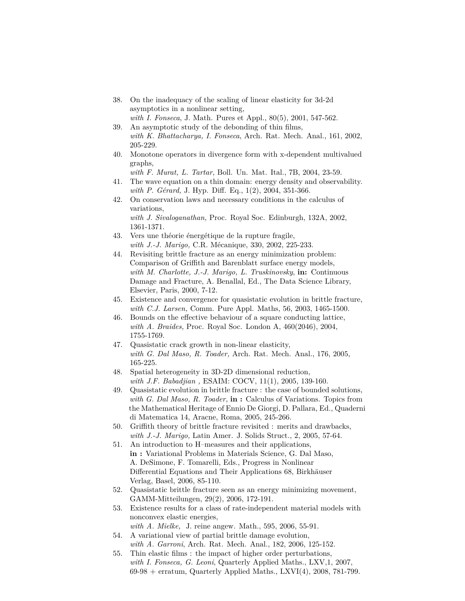- 38. On the inadequacy of the scaling of linear elasticity for 3d-2d asymptotics in a nonlinear setting, *with I. Fonseca*, J. Math. Pures et Appl., 80(5), 2001, 547-562.
- 39. An asymptotic study of the debonding of thin films, *with K. Bhattacharya, I. Fonseca*, Arch. Rat. Mech. Anal., 161, 2002, 205-229.
- 40. Monotone operators in divergence form with x-dependent multivalued graphs,

*with F. Murat, L. Tartar,* Boll. Un. Mat. Ital., 7B, 2004, 23-59.

- 41. The wave equation on a thin domain: energy density and observability. *with P. Gérard,* J. Hyp. Diff. Eq., 1(2), 2004, 351-366.
- 42. On conservation laws and necessary conditions in the calculus of variations, *with J. Sivaloganathan,* Proc. Royal Soc. Edinburgh, 132A, 2002, 1361-1371.
- 43. Vers une théorie énergétique de la rupture fragile, *with J.-J. Marigo,* C.R. Mécanique, 330, 2002, 225-233.
- 44. Revisiting brittle fracture as an energy minimization problem: Comparison of Griffith and Barenblatt surface energy models, *with M. Charlotte, J.-J. Marigo, L. Truskinovsky*, **in:** Continuous Damage and Fracture, A. Benallal, Ed., The Data Science Library, Elsevier, Paris, 2000, 7-12.
- 45. Existence and convergence for quasistatic evolution in brittle fracture, *with C.J. Larsen,* Comm. Pure Appl. Maths, 56, 2003, 1465-1500.
- 46. Bounds on the effective behaviour of a square conducting lattice, *with A. Braides,* Proc. Royal Soc. London A, 460(2046), 2004, 1755-1769.
- 47. Quasistatic crack growth in non-linear elasticity, *with G. Dal Maso, R. Toader,* Arch. Rat. Mech. Anal., 176, 2005, 165-225.
- 48. Spatial heterogeneity in 3D-2D dimensional reduction, *with J.F. Babadjian ,* ESAIM: COCV, 11(1), 2005, 139-160.
- 49. Quasistatic evolution in brittle fracture : the case of bounded solutions, *with G. Dal Maso, R. Toader,* **in :** Calculus of Variations. Topics from the Mathematical Heritage of Ennio De Giorgi, D. Pallara, Ed., Quaderni di Matematica 14, Aracne, Roma, 2005, 245-266.
- 50. Griffith theory of brittle fracture revisited : merits and drawbacks, *with J.-J. Marigo,* Latin Amer. J. Solids Struct., 2, 2005, 57-64.
- 51. An introduction to H–measures and their applications, **in :** Variational Problems in Materials Science, G. Dal Maso, A. DeSimone, F. Tomarelli, Eds., Progress in Nonlinear Differential Equations and Their Applications 68, Birkhäuser Verlag, Basel, 2006, 85-110.
- 52. Quasistatic brittle fracture seen as an energy minimizing movement, GAMM-Mitteilungen, 29(2), 2006, 172-191.
- 53. Existence results for a class of rate-independent material models with nonconvex elastic energies,
	- *with A. Mielke,* J. reine angew. Math., 595, 2006, 55-91.
- 54. A variational view of partial brittle damage evolution, *with A. Garroni*, Arch. Rat. Mech. Anal., 182, 2006, 125-152.
- 55. Thin elastic films : the impact of higher order perturbations, *with I. Fonseca, G. Leoni*, Quarterly Applied Maths., LXV,1, 2007, 69-98 + erratum, Quarterly Applied Maths., LXVI(4), 2008, 781-799.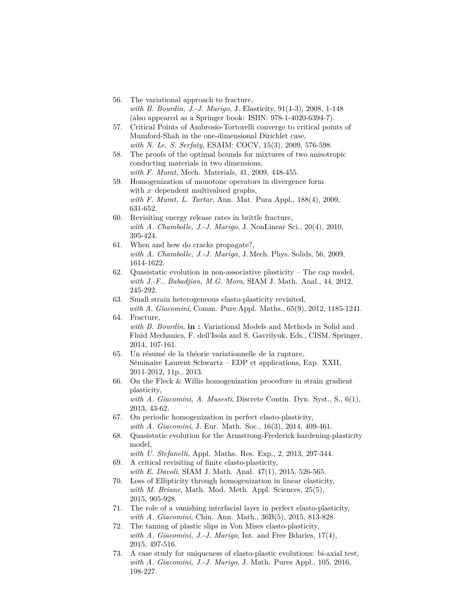- 56. The variational approach to fracture, *with B. Bourdin, J.-J. Marigo*, J. Elasticity, 91(1-3), 2008, 1-148 (also appeared as a Springer book: ISBN: 978-1-4020-6394-7).
- 57. Critical Points of Ambrosio-Tortorelli converge to critical points of Mumford-Shah in the one-dimensional Dirichlet case, *with N. Le, S. Serfaty*, ESAIM: COCV, 15(3), 2009, 576-598.
- 58. The proofs of the optimal bounds for mixtures of two anisotropic conducting materials in two dimensions, *with F. Murat*, Mech. Materials, 41, 2009, 448-455.
- 59. Homogenization of monotone operators in divergence form with  $x$ -dependent multivalued graphs, *with F. Murat, L. Tartar*, Ann. Mat. Pura Appl., 188(4), 2009, 631-652.
- 60. Revisiting energy release rates in brittle fracture, *with A. Chambolle, J.-J. Marigo*, J. NonLinear Sci., 20(4), 2010, 395-424.
- 61. When and how do cracks propagate?, *with A. Chambolle, J.-J. Marigo*, J. Mech. Phys. Solids, 56, 2009, 1614-1622.
- 62. Quasistatic evolution in non-associative plasticity The cap model, *with J.-F.. Babadjian, M.G. Mora*, SIAM J. Math. Anal., 44, 2012, 245-292.
- 63. Small strain heterogeneous elasto-plasticity revisited, *with A. Giacomini*, Comm. Pure Appl. Maths., 65(9), 2012, 1185-1241.
- 64. Fracture, *with B. Bourdin*, **in :** Variational Models and Methods in Solid and Fluid Mechanics, F. dell'Isola and S. Gavrilyuk, Eds., CISM, Springer, 2014, 107-161.
- 65. Un résumé de la théorie variationnelle de la rupture, Séminaire Laurent Schwartz – EDP et applications, Exp. XXII, 2011-2012, 11p., 2013.
- 66. On the Fleck & Willis homogenization procedure in strain gradient plasticity, *with A. Giacomini, A. Musesti*, Discrete Contin. Dyn. Syst., S., 6(1),
- 2013, 43-62. 67. On periodic homogenization in perfect elasto-plasticity, *with A. Giacomini*, J. Eur. Math. Soc., 16(3), 2014, 409-461.
- 68. Quasistatic evolution for the Armstrong-Frederick hardening-plasticity model,
- *with U. Stefanelli*, Appl. Maths. Res. Exp., 2, 2013, 297-344. 69. A critical revisiting of finite elasto-plasticity,
	- *with E. Davoli*, SIAM J. Math. Anal. 47(1), 2015, 526-565.
- 70. Loss of Ellipticity through homogenization in linear elasticity, *with M. Briane*, Math. Mod. Meth. Appl. Sciences, 25(5), 2015, 905-928.
- 71. The role of a vanishing interfacial layer in perfect elasto-plasticity, *with A. Giacomini*, Chin. Ann. Math., 36B(5), 2015, 813-828.
- 72. The taming of plastic slips in Von Mises elasto-plasticity, *with A. Giacomini, J.-J. Marigo*, Int. and Free Bdaries, 17(4), 2015, 497-516.
- 73. A case study for uniqueness of elasto-plastic evolutions: bi-axial test, *with A. Giacomini, J.-J. Marigo*, J. Math. Pures Appl., 105, 2016, 198-227.